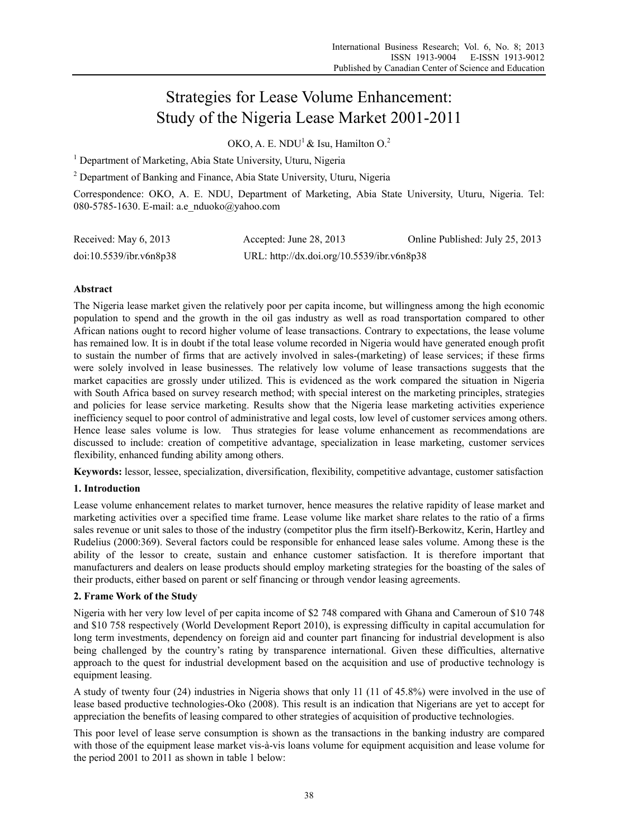# Strategies for Lease Volume Enhancement: Study of the Nigeria Lease Market 2001-2011

OKO, A. E. NDU<sup>1</sup> & Isu, Hamilton O.<sup>2</sup>

<sup>1</sup> Department of Marketing, Abia State University, Uturu, Nigeria

<sup>2</sup> Department of Banking and Finance, Abia State University, Uturu, Nigeria

Correspondence: OKO, A. E. NDU, Department of Marketing, Abia State University, Uturu, Nigeria. Tel: 080-5785-1630. E-mail: a.e\_nduoko@yahoo.com

| Received: May 6, 2013   | Accepted: June 28, 2013                    | Online Published: July 25, 2013 |
|-------------------------|--------------------------------------------|---------------------------------|
| doi:10.5539/ibr.v6n8p38 | URL: http://dx.doi.org/10.5539/ibr.v6n8p38 |                                 |

## **Abstract**

The Nigeria lease market given the relatively poor per capita income, but willingness among the high economic population to spend and the growth in the oil gas industry as well as road transportation compared to other African nations ought to record higher volume of lease transactions. Contrary to expectations, the lease volume has remained low. It is in doubt if the total lease volume recorded in Nigeria would have generated enough profit to sustain the number of firms that are actively involved in sales-(marketing) of lease services; if these firms were solely involved in lease businesses. The relatively low volume of lease transactions suggests that the market capacities are grossly under utilized. This is evidenced as the work compared the situation in Nigeria with South Africa based on survey research method; with special interest on the marketing principles, strategies and policies for lease service marketing. Results show that the Nigeria lease marketing activities experience inefficiency sequel to poor control of administrative and legal costs, low level of customer services among others. Hence lease sales volume is low. Thus strategies for lease volume enhancement as recommendations are discussed to include: creation of competitive advantage, specialization in lease marketing, customer services flexibility, enhanced funding ability among others.

**Keywords:** lessor, lessee, specialization, diversification, flexibility, competitive advantage, customer satisfaction

## **1. Introduction**

Lease volume enhancement relates to market turnover, hence measures the relative rapidity of lease market and marketing activities over a specified time frame. Lease volume like market share relates to the ratio of a firms sales revenue or unit sales to those of the industry (competitor plus the firm itself)-Berkowitz, Kerin, Hartley and Rudelius (2000:369). Several factors could be responsible for enhanced lease sales volume. Among these is the ability of the lessor to create, sustain and enhance customer satisfaction. It is therefore important that manufacturers and dealers on lease products should employ marketing strategies for the boasting of the sales of their products, either based on parent or self financing or through vendor leasing agreements.

## **2. Frame Work of the Study**

Nigeria with her very low level of per capita income of \$2 748 compared with Ghana and Cameroun of \$10 748 and \$10 758 respectively (World Development Report 2010), is expressing difficulty in capital accumulation for long term investments, dependency on foreign aid and counter part financing for industrial development is also being challenged by the country's rating by transparence international. Given these difficulties, alternative approach to the quest for industrial development based on the acquisition and use of productive technology is equipment leasing.

A study of twenty four (24) industries in Nigeria shows that only 11 (11 of 45.8%) were involved in the use of lease based productive technologies-Oko (2008). This result is an indication that Nigerians are yet to accept for appreciation the benefits of leasing compared to other strategies of acquisition of productive technologies.

This poor level of lease serve consumption is shown as the transactions in the banking industry are compared with those of the equipment lease market vis-à-vis loans volume for equipment acquisition and lease volume for the period 2001 to 2011 as shown in table 1 below: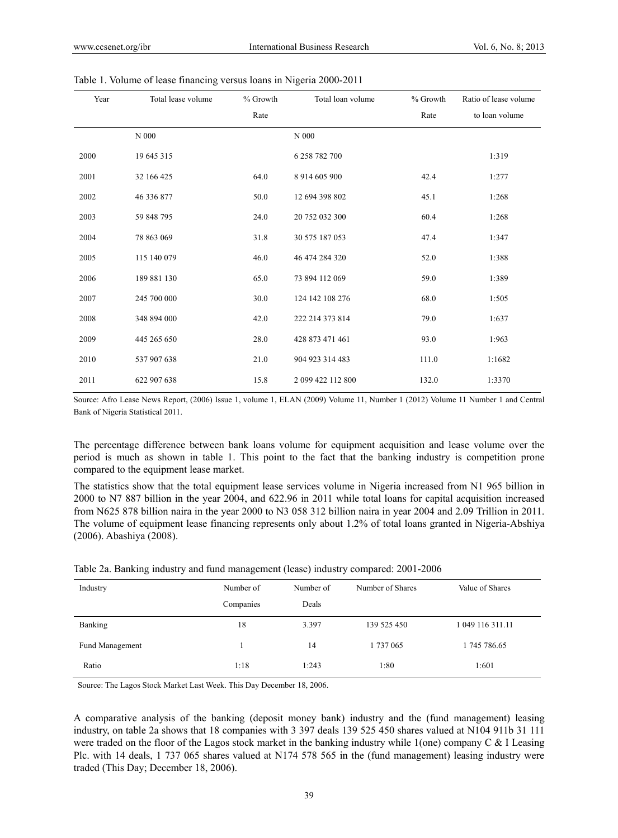| Year | Total lease volume | % Growth | Total loan volume | % Growth | Ratio of lease volume |
|------|--------------------|----------|-------------------|----------|-----------------------|
|      |                    | Rate     |                   | Rate     | to loan volume        |
|      | $N$ 000            |          | N 000             |          |                       |
| 2000 | 19 645 315         |          | 6 258 782 700     |          | 1:319                 |
| 2001 | 32 166 425         | 64.0     | 8 914 605 900     | 42.4     | 1:277                 |
| 2002 | 46 336 877         | 50.0     | 12 694 398 802    | 45.1     | 1:268                 |
| 2003 | 59 848 795         | 24.0     | 20 752 032 300    | 60.4     | 1:268                 |
| 2004 | 78 863 069         | 31.8     | 30 575 187 053    | 47.4     | 1:347                 |
| 2005 | 115 140 079        | 46.0     | 46 474 284 320    | 52.0     | 1:388                 |
| 2006 | 189 881 130        | 65.0     | 73 894 112 069    | 59.0     | 1:389                 |
| 2007 | 245 700 000        | 30.0     | 124 142 108 276   | 68.0     | 1:505                 |
| 2008 | 348 894 000        | 42.0     | 222 214 373 814   | 79.0     | 1:637                 |
| 2009 | 445 265 650        | 28.0     | 428 873 471 461   | 93.0     | 1:963                 |
| 2010 | 537 907 638        | 21.0     | 904 923 314 483   | 111.0    | 1:1682                |
| 2011 | 622 907 638        | 15.8     | 2 099 422 112 800 | 132.0    | 1:3370                |

Table 1. Volume of lease financing versus loans in Nigeria 2000-2011

Source: Afro Lease News Report, (2006) Issue 1, volume 1, ELAN (2009) Volume 11, Number 1 (2012) Volume 11 Number 1 and Central Bank of Nigeria Statistical 2011.

The percentage difference between bank loans volume for equipment acquisition and lease volume over the period is much as shown in table 1. This point to the fact that the banking industry is competition prone compared to the equipment lease market.

The statistics show that the total equipment lease services volume in Nigeria increased from N1 965 billion in 2000 to N7 887 billion in the year 2004, and 622.96 in 2011 while total loans for capital acquisition increased from N625 878 billion naira in the year 2000 to N3 058 312 billion naira in year 2004 and 2.09 Trillion in 2011. The volume of equipment lease financing represents only about 1.2% of total loans granted in Nigeria-Abshiya (2006). Abashiya (2008).

| Table 2a. Banking industry and fund management (lease) industry compared: 2001-2006 |  |  |  |  |  |  |
|-------------------------------------------------------------------------------------|--|--|--|--|--|--|
|                                                                                     |  |  |  |  |  |  |

| Industry        | Number of<br>Companies | Number of<br>Deals | Number of Shares | Value of Shares  |
|-----------------|------------------------|--------------------|------------------|------------------|
| Banking         | 18                     | 3.397              | 139 525 450      | 1 049 116 311.11 |
| Fund Management |                        | 14                 | 1 737 065        | 1745786.65       |
| Ratio           | 1:18                   | 1:243              | 1:80             | 1:601            |

Source: The Lagos Stock Market Last Week. This Day December 18, 2006.

A comparative analysis of the banking (deposit money bank) industry and the (fund management) leasing industry, on table 2a shows that 18 companies with 3 397 deals 139 525 450 shares valued at N104 911b 31 111 were traded on the floor of the Lagos stock market in the banking industry while 1(one) company C & I Leasing Plc. with 14 deals, 1 737 065 shares valued at N174 578 565 in the (fund management) leasing industry were traded (This Day; December 18, 2006).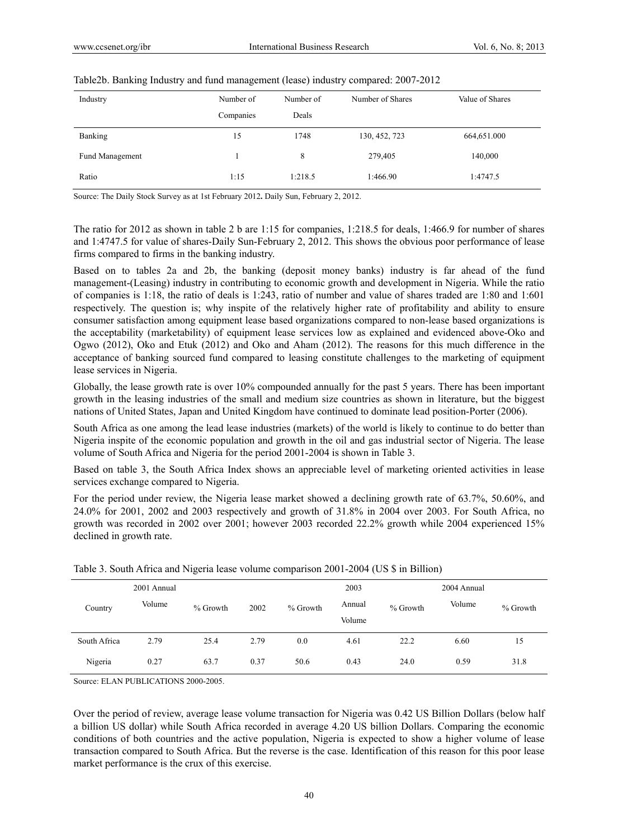| Industry               | Number of | Number of | Number of Shares | Value of Shares |
|------------------------|-----------|-----------|------------------|-----------------|
|                        | Companies | Deals     |                  |                 |
| Banking                | 15        | 1748      | 130, 452, 723    | 664,651.000     |
| <b>Fund Management</b> |           | 8         | 279,405          | 140,000         |
| Ratio                  | 1:15      | 1:218.5   | 1:466.90         | 1:4747.5        |

#### Table2b. Banking Industry and fund management (lease) industry compared: 2007-2012

Source: The Daily Stock Survey as at 1st February 2012**.** Daily Sun, February 2, 2012.

The ratio for 2012 as shown in table 2 b are 1:15 for companies, 1:218.5 for deals, 1:466.9 for number of shares and 1:4747.5 for value of shares-Daily Sun-February 2, 2012. This shows the obvious poor performance of lease firms compared to firms in the banking industry.

Based on to tables 2a and 2b, the banking (deposit money banks) industry is far ahead of the fund management-(Leasing) industry in contributing to economic growth and development in Nigeria. While the ratio of companies is 1:18, the ratio of deals is 1:243, ratio of number and value of shares traded are 1:80 and 1:601 respectively. The question is; why inspite of the relatively higher rate of profitability and ability to ensure consumer satisfaction among equipment lease based organizations compared to non-lease based organizations is the acceptability (marketability) of equipment lease services low as explained and evidenced above-Oko and Ogwo (2012), Oko and Etuk (2012) and Oko and Aham (2012). The reasons for this much difference in the acceptance of banking sourced fund compared to leasing constitute challenges to the marketing of equipment lease services in Nigeria.

Globally, the lease growth rate is over 10% compounded annually for the past 5 years. There has been important growth in the leasing industries of the small and medium size countries as shown in literature, but the biggest nations of United States, Japan and United Kingdom have continued to dominate lead position-Porter (2006).

South Africa as one among the lead lease industries (markets) of the world is likely to continue to do better than Nigeria inspite of the economic population and growth in the oil and gas industrial sector of Nigeria. The lease volume of South Africa and Nigeria for the period 2001-2004 is shown in Table 3.

Based on table 3, the South Africa Index shows an appreciable level of marketing oriented activities in lease services exchange compared to Nigeria.

For the period under review, the Nigeria lease market showed a declining growth rate of 63.7%, 50.60%, and 24.0% for 2001, 2002 and 2003 respectively and growth of 31.8% in 2004 over 2003. For South Africa, no growth was recorded in 2002 over 2001; however 2003 recorded 22.2% growth while 2004 experienced 15% declined in growth rate.

|              | 2001 Annual |            |      |          | 2003             |          | 2004 Annual |          |
|--------------|-------------|------------|------|----------|------------------|----------|-------------|----------|
| Country      | Volume      | $%$ Growth | 2002 | % Growth | Annual<br>Volume | % Growth | Volume      | % Growth |
| South Africa | 2.79        | 25.4       | 2.79 | 0.0      | 4.61             | 22.2     | 6.60        | 15       |
| Nigeria      | 0.27        | 63.7       | 0.37 | 50.6     | 0.43             | 24.0     | 0.59        | 31.8     |

| Table 3. South Africa and Nigeria lease volume comparison 2001-2004 (US \$ in Billion) |  |  |
|----------------------------------------------------------------------------------------|--|--|
|                                                                                        |  |  |

Source: ELAN PUBLICATIONS 2000-2005.

Over the period of review, average lease volume transaction for Nigeria was 0.42 US Billion Dollars (below half a billion US dollar) while South Africa recorded in average 4.20 US billion Dollars. Comparing the economic conditions of both countries and the active population, Nigeria is expected to show a higher volume of lease transaction compared to South Africa. But the reverse is the case. Identification of this reason for this poor lease market performance is the crux of this exercise.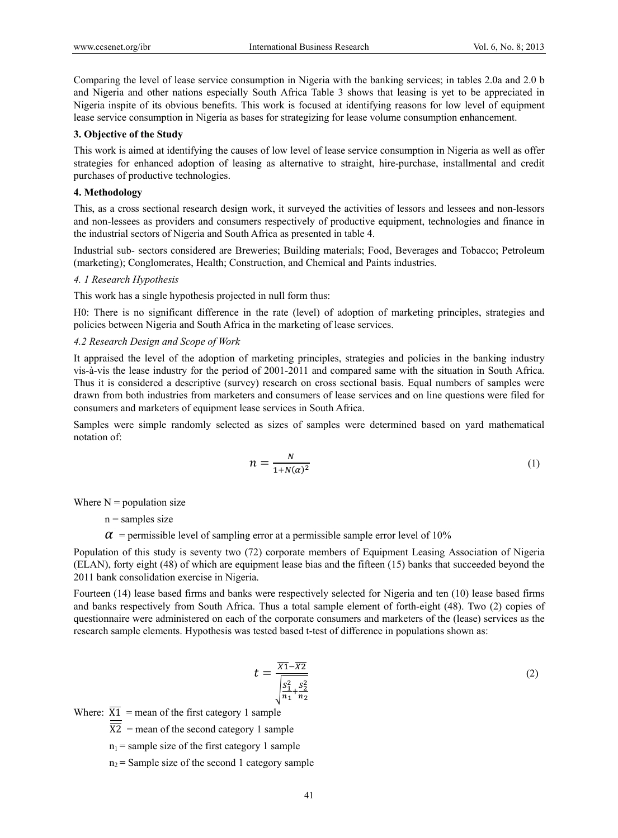Comparing the level of lease service consumption in Nigeria with the banking services; in tables 2.0a and 2.0 b and Nigeria and other nations especially South Africa Table 3 shows that leasing is yet to be appreciated in Nigeria inspite of its obvious benefits. This work is focused at identifying reasons for low level of equipment lease service consumption in Nigeria as bases for strategizing for lease volume consumption enhancement.

#### **3. Objective of the Study**

This work is aimed at identifying the causes of low level of lease service consumption in Nigeria as well as offer strategies for enhanced adoption of leasing as alternative to straight, hire-purchase, installmental and credit purchases of productive technologies.

#### **4. Methodology**

This, as a cross sectional research design work, it surveyed the activities of lessors and lessees and non-lessors and non-lessees as providers and consumers respectively of productive equipment, technologies and finance in the industrial sectors of Nigeria and South Africa as presented in table 4.

Industrial sub- sectors considered are Breweries; Building materials; Food, Beverages and Tobacco; Petroleum (marketing); Conglomerates, Health; Construction, and Chemical and Paints industries.

## *4. 1 Research Hypothesis*

This work has a single hypothesis projected in null form thus:

H0: There is no significant difference in the rate (level) of adoption of marketing principles, strategies and policies between Nigeria and South Africa in the marketing of lease services.

#### *4.2 Research Design and Scope of Work*

It appraised the level of the adoption of marketing principles, strategies and policies in the banking industry vis-à-vis the lease industry for the period of 2001-2011 and compared same with the situation in South Africa. Thus it is considered a descriptive (survey) research on cross sectional basis. Equal numbers of samples were drawn from both industries from marketers and consumers of lease services and on line questions were filed for consumers and marketers of equipment lease services in South Africa.

Samples were simple randomly selected as sizes of samples were determined based on yard mathematical notation of:

$$
n = \frac{N}{1 + N(\alpha)^2} \tag{1}
$$

Where  $N =$  population size

 $n =$ samples size

 $\alpha$  = permissible level of sampling error at a permissible sample error level of 10%

Population of this study is seventy two (72) corporate members of Equipment Leasing Association of Nigeria (ELAN), forty eight (48) of which are equipment lease bias and the fifteen (15) banks that succeeded beyond the 2011 bank consolidation exercise in Nigeria.

Fourteen (14) lease based firms and banks were respectively selected for Nigeria and ten (10) lease based firms and banks respectively from South Africa. Thus a total sample element of forth-eight (48). Two (2) copies of questionnaire were administered on each of the corporate consumers and marketers of the (lease) services as the research sample elements. Hypothesis was tested based t-test of difference in populations shown as:

$$
t = \frac{\overline{X_1} - \overline{X_2}}{\sqrt{\frac{S_1^2}{n_1} + \frac{S_2^2}{n_2}}}
$$
(2)

Where:  $\overline{X1}$  = mean of the first category 1 sample

 $\overline{X2}$  = mean of the second category 1 sample

 $n_1$  = sample size of the first category 1 sample

 $n_2$  = Sample size of the second 1 category sample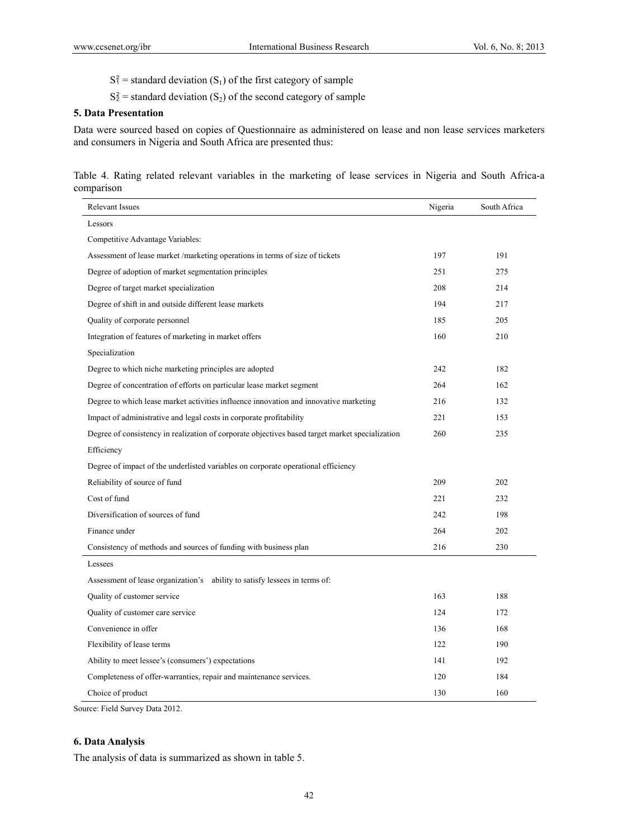- $S_1^2$  = standard deviation  $(S_1)$  of the first category of sample
- $S_2^2$  = standard deviation  $(S_2)$  of the second category of sample

#### **5. Data Presentation**

Data were sourced based on copies of Questionnaire as administered on lease and non lease services marketers and consumers in Nigeria and South Africa are presented thus:

Table 4. Rating related relevant variables in the marketing of lease services in Nigeria and South Africa-a comparison

| <b>Relevant Issues</b>                                                                          | Nigeria | South Africa |
|-------------------------------------------------------------------------------------------------|---------|--------------|
| Lessors                                                                                         |         |              |
| Competitive Advantage Variables:                                                                |         |              |
| Assessment of lease market/marketing operations in terms of size of tickets                     | 197     | 191          |
| Degree of adoption of market segmentation principles                                            | 251     | 275          |
| Degree of target market specialization                                                          | 208     | 214          |
| Degree of shift in and outside different lease markets                                          | 194     | 217          |
| Quality of corporate personnel                                                                  | 185     | 205          |
| Integration of features of marketing in market offers                                           | 160     | 210          |
| Specialization                                                                                  |         |              |
| Degree to which niche marketing principles are adopted                                          | 242     | 182          |
| Degree of concentration of efforts on particular lease market segment                           | 264     | 162          |
| Degree to which lease market activities influence innovation and innovative marketing           | 216     | 132          |
| Impact of administrative and legal costs in corporate profitability                             | 221     | 153          |
| Degree of consistency in realization of corporate objectives based target market specialization | 260     | 235          |
| Efficiency                                                                                      |         |              |
| Degree of impact of the underlisted variables on corporate operational efficiency               |         |              |
| Reliability of source of fund                                                                   | 209     | 202          |
| Cost of fund                                                                                    | 221     | 232          |
| Diversification of sources of fund                                                              | 242     | 198          |
| Finance under                                                                                   | 264     | 202          |
| Consistency of methods and sources of funding with business plan                                | 216     | 230          |
| Lessees                                                                                         |         |              |
| Assessment of lease organization's ability to satisfy lessees in terms of:                      |         |              |
| Quality of customer service                                                                     | 163     | 188          |
| Quality of customer care service                                                                | 124     | 172          |
| Convenience in offer                                                                            | 136     | 168          |
| Flexibility of lease terms                                                                      | 122     | 190          |
| Ability to meet lessee's (consumers') expectations                                              | 141     | 192          |
| Completeness of offer-warranties, repair and maintenance services.                              | 120     | 184          |
| Choice of product                                                                               | 130     | 160          |

Source: Field Survey Data 2012.

## **6. Data Analysis**

The analysis of data is summarized as shown in table 5.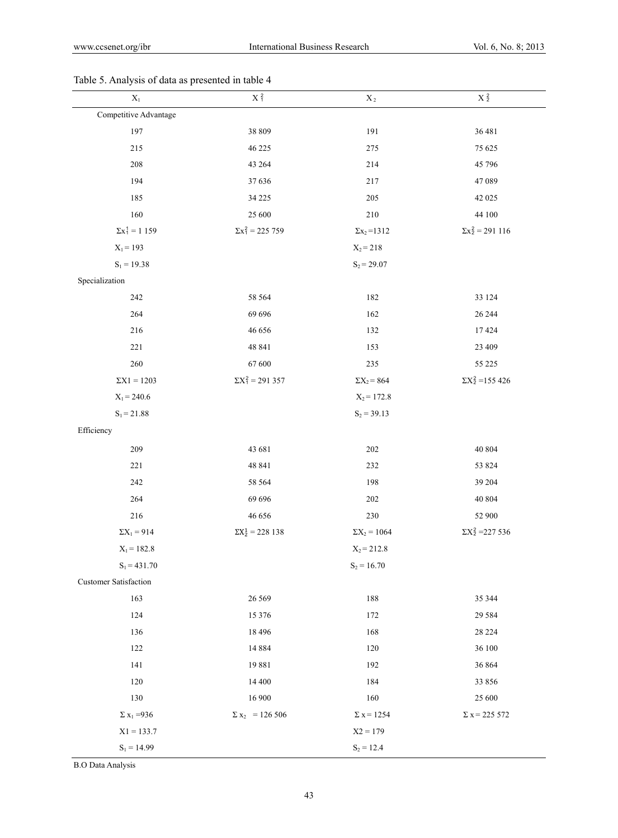## $X_1$   $X_2^2$   $X_3^2$   $X_2$   $X_3^2$ Competitive Advantage 197 38 809 38 809 191 36 481 215 46 225 275 75 625 208 43 264 214 45 796 194 37 636 217 47 089 185 34 225 34 225 205 42 025 160 25 600 210 210 44 100  $\Sigma x_1^2 = 1159$   $\Sigma x_1^2 = 225759$   $\Sigma x_2 = 1312$   $\Sigma x_2^2 = 291116$  $X_1 = 193$  $S_1 = 19.38$  $X_2 = 218$  $S_2 = 29.07$ Specialization 242 58 564 182 33 124 264 696 696 162 26 244 216 132 17 424 221 48 841 153 23 409 260 67 600 235 55 225  $\Sigma X1 = 1203$   $\Sigma X_1^2 = 291357$   $\Sigma X_2 = 864$   $\Sigma X_2^2 = 155426$  $X_1 = 240.6$  $S_1 = 21.88$  $X_2 = 172.8$  $S_2 = 39.13$ Efficiency 209 43681 202 40804 221 48 841 232 53 824 242 58 564 198 39 204 264 69 696 202 40 804 216 200 46 656 230 230 52 900  $\sum X_1 = 914$   $\sum X_2^1 = 228138$  $\Sigma X_2 = 1064$   $\Sigma X_2^2 = 227536$  $X_1 = 182.8$  $S_1 = 431.70$  $X_2 = 212.8$  $S_2 = 16.70$ Customer Satisfaction 163 26 569 188 35 344 124 15 376 172 29 584 136 18 496 168 28 224 122 122 14 884 120 36 100 141 141 19881 192 36 864 120 14400 184 33 856 130 16900 16900 160 25 600  $\Sigma x_1 = 936$   $\Sigma x_2 = 126506$   $\Sigma x = 1254$   $\Sigma x = 225572$  $X1 = 133.7$  $S_1 = 14.99$  $X2 = 179$  $S_2 = 12.4$

#### Table 5. Analysis of data as presented in table 4

B.O Data Analysis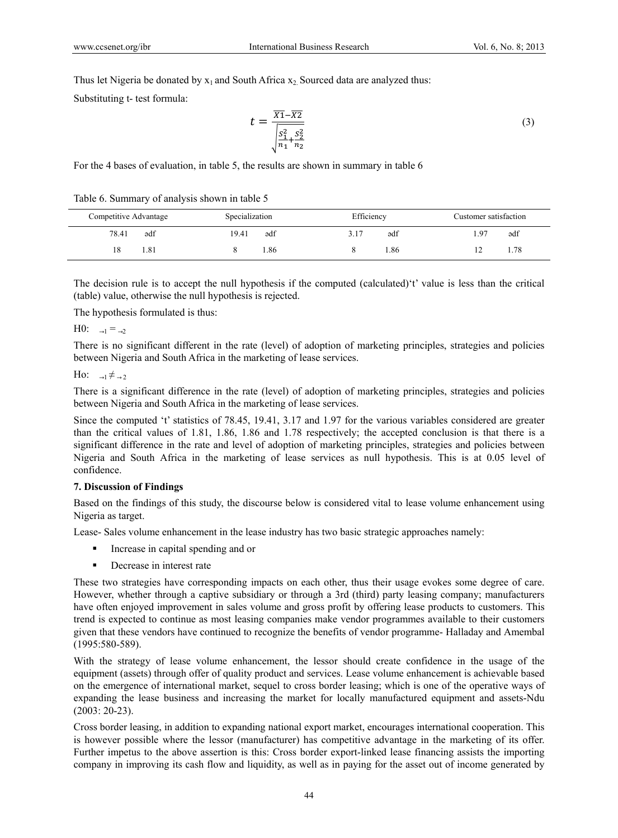Thus let Nigeria be donated by  $x_1$  and South Africa  $x_2$  Sourced data are analyzed thus:

Substituting t- test formula:

$$
t = \frac{\overline{X_1} - \overline{X_2}}{\sqrt{\frac{S_1^2}{n_1} + \frac{S_2^2}{n_2}}}
$$
(3)

For the 4 bases of evaluation, in table 5, the results are shown in summary in table 6

| Table 6. Summary of analysis shown in table 5 |  |  |  |
|-----------------------------------------------|--|--|--|
|                                               |  |  |  |

| Competitive Advantage | Specialization | Efficiency  | Customer satisfaction |
|-----------------------|----------------|-------------|-----------------------|
| ədf<br>78.41          | 19.41<br>ədf   | ədf<br>3.17 | ədf<br>97ء            |
| 1.81<br>18            | . 86           | . 86        | 1.78                  |

The decision rule is to accept the null hypothesis if the computed (calculated)'t' value is less than the critical (table) value, otherwise the null hypothesis is rejected.

The hypothesis formulated is thus:

H0:  $\rightarrow 1 = \rightarrow 2$ 

There is no significant different in the rate (level) of adoption of marketing principles, strategies and policies between Nigeria and South Africa in the marketing of lease services.

Ho:  $\rightarrow 1 \neq \rightarrow 2$ 

There is a significant difference in the rate (level) of adoption of marketing principles, strategies and policies between Nigeria and South Africa in the marketing of lease services.

Since the computed 't' statistics of 78.45, 19.41, 3.17 and 1.97 for the various variables considered are greater than the critical values of 1.81, 1.86, 1.86 and 1.78 respectively; the accepted conclusion is that there is a significant difference in the rate and level of adoption of marketing principles, strategies and policies between Nigeria and South Africa in the marketing of lease services as null hypothesis. This is at 0.05 level of confidence.

### **7. Discussion of Findings**

Based on the findings of this study, the discourse below is considered vital to lease volume enhancement using Nigeria as target.

Lease- Sales volume enhancement in the lease industry has two basic strategic approaches namely:

- Increase in capital spending and or
- **Decrease in interest rate**

These two strategies have corresponding impacts on each other, thus their usage evokes some degree of care. However, whether through a captive subsidiary or through a 3rd (third) party leasing company; manufacturers have often enjoyed improvement in sales volume and gross profit by offering lease products to customers. This trend is expected to continue as most leasing companies make vendor programmes available to their customers given that these vendors have continued to recognize the benefits of vendor programme- Halladay and Amembal (1995:580-589).

With the strategy of lease volume enhancement, the lessor should create confidence in the usage of the equipment (assets) through offer of quality product and services. Lease volume enhancement is achievable based on the emergence of international market, sequel to cross border leasing; which is one of the operative ways of expanding the lease business and increasing the market for locally manufactured equipment and assets-Ndu (2003: 20-23).

Cross border leasing, in addition to expanding national export market, encourages international cooperation. This is however possible where the lessor (manufacturer) has competitive advantage in the marketing of its offer. Further impetus to the above assertion is this: Cross border export-linked lease financing assists the importing company in improving its cash flow and liquidity, as well as in paying for the asset out of income generated by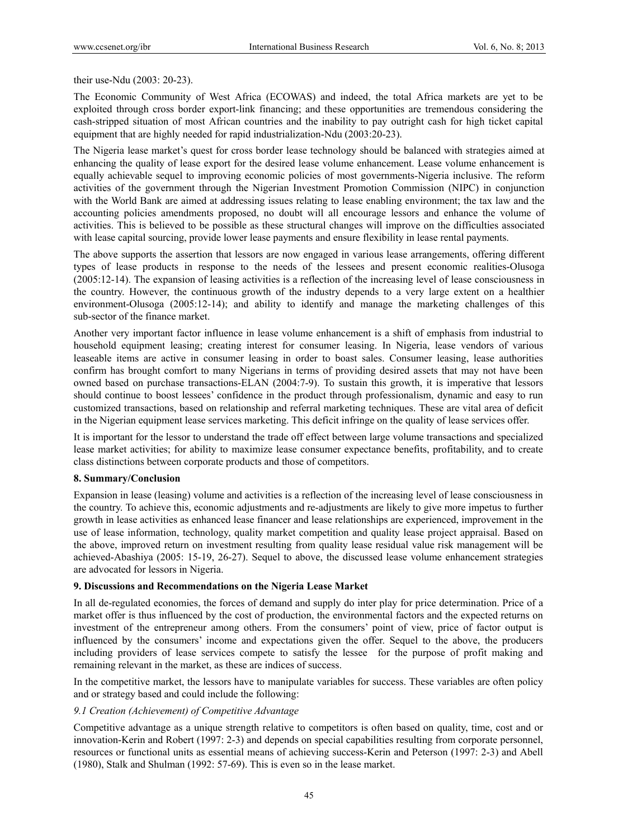their use-Ndu (2003: 20-23).

The Economic Community of West Africa (ECOWAS) and indeed, the total Africa markets are yet to be exploited through cross border export-link financing; and these opportunities are tremendous considering the cash-stripped situation of most African countries and the inability to pay outright cash for high ticket capital equipment that are highly needed for rapid industrialization-Ndu (2003:20-23).

The Nigeria lease market's quest for cross border lease technology should be balanced with strategies aimed at enhancing the quality of lease export for the desired lease volume enhancement. Lease volume enhancement is equally achievable sequel to improving economic policies of most governments-Nigeria inclusive. The reform activities of the government through the Nigerian Investment Promotion Commission (NIPC) in conjunction with the World Bank are aimed at addressing issues relating to lease enabling environment; the tax law and the accounting policies amendments proposed, no doubt will all encourage lessors and enhance the volume of activities. This is believed to be possible as these structural changes will improve on the difficulties associated with lease capital sourcing, provide lower lease payments and ensure flexibility in lease rental payments.

The above supports the assertion that lessors are now engaged in various lease arrangements, offering different types of lease products in response to the needs of the lessees and present economic realities-Olusoga (2005:12-14). The expansion of leasing activities is a reflection of the increasing level of lease consciousness in the country. However, the continuous growth of the industry depends to a very large extent on a healthier environment-Olusoga (2005:12-14); and ability to identify and manage the marketing challenges of this sub-sector of the finance market.

Another very important factor influence in lease volume enhancement is a shift of emphasis from industrial to household equipment leasing; creating interest for consumer leasing. In Nigeria, lease vendors of various leaseable items are active in consumer leasing in order to boast sales. Consumer leasing, lease authorities confirm has brought comfort to many Nigerians in terms of providing desired assets that may not have been owned based on purchase transactions-ELAN (2004:7-9). To sustain this growth, it is imperative that lessors should continue to boost lessees' confidence in the product through professionalism, dynamic and easy to run customized transactions, based on relationship and referral marketing techniques. These are vital area of deficit in the Nigerian equipment lease services marketing. This deficit infringe on the quality of lease services offer.

It is important for the lessor to understand the trade off effect between large volume transactions and specialized lease market activities; for ability to maximize lease consumer expectance benefits, profitability, and to create class distinctions between corporate products and those of competitors.

#### **8. Summary/Conclusion**

Expansion in lease (leasing) volume and activities is a reflection of the increasing level of lease consciousness in the country. To achieve this, economic adjustments and re-adjustments are likely to give more impetus to further growth in lease activities as enhanced lease financer and lease relationships are experienced, improvement in the use of lease information, technology, quality market competition and quality lease project appraisal. Based on the above, improved return on investment resulting from quality lease residual value risk management will be achieved-Abashiya (2005: 15-19, 26-27). Sequel to above, the discussed lease volume enhancement strategies are advocated for lessors in Nigeria.

#### **9. Discussions and Recommendations on the Nigeria Lease Market**

In all de-regulated economies, the forces of demand and supply do inter play for price determination. Price of a market offer is thus influenced by the cost of production, the environmental factors and the expected returns on investment of the entrepreneur among others. From the consumers' point of view, price of factor output is influenced by the consumers' income and expectations given the offer. Sequel to the above, the producers including providers of lease services compete to satisfy the lessee for the purpose of profit making and remaining relevant in the market, as these are indices of success.

In the competitive market, the lessors have to manipulate variables for success. These variables are often policy and or strategy based and could include the following:

#### *9.1 Creation (Achievement) of Competitive Advantage*

Competitive advantage as a unique strength relative to competitors is often based on quality, time, cost and or innovation-Kerin and Robert (1997: 2-3) and depends on special capabilities resulting from corporate personnel, resources or functional units as essential means of achieving success-Kerin and Peterson (1997: 2-3) and Abell (1980), Stalk and Shulman (1992: 57-69). This is even so in the lease market.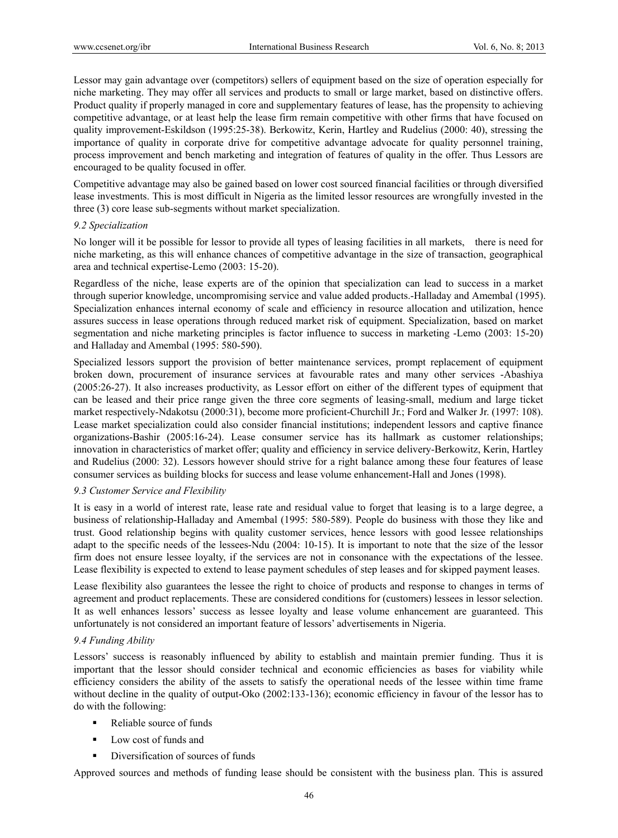Lessor may gain advantage over (competitors) sellers of equipment based on the size of operation especially for niche marketing. They may offer all services and products to small or large market, based on distinctive offers. Product quality if properly managed in core and supplementary features of lease, has the propensity to achieving competitive advantage, or at least help the lease firm remain competitive with other firms that have focused on quality improvement-Eskildson (1995:25-38). Berkowitz, Kerin, Hartley and Rudelius (2000: 40), stressing the importance of quality in corporate drive for competitive advantage advocate for quality personnel training, process improvement and bench marketing and integration of features of quality in the offer. Thus Lessors are encouraged to be quality focused in offer.

Competitive advantage may also be gained based on lower cost sourced financial facilities or through diversified lease investments. This is most difficult in Nigeria as the limited lessor resources are wrongfully invested in the three (3) core lease sub-segments without market specialization.

#### *9.2 Specialization*

No longer will it be possible for lessor to provide all types of leasing facilities in all markets, there is need for niche marketing, as this will enhance chances of competitive advantage in the size of transaction, geographical area and technical expertise-Lemo (2003: 15-20).

Regardless of the niche, lease experts are of the opinion that specialization can lead to success in a market through superior knowledge, uncompromising service and value added products.-Halladay and Amembal (1995). Specialization enhances internal economy of scale and efficiency in resource allocation and utilization, hence assures success in lease operations through reduced market risk of equipment. Specialization, based on market segmentation and niche marketing principles is factor influence to success in marketing -Lemo (2003: 15-20) and Halladay and Amembal (1995: 580-590).

Specialized lessors support the provision of better maintenance services, prompt replacement of equipment broken down, procurement of insurance services at favourable rates and many other services -Abashiya (2005:26-27). It also increases productivity, as Lessor effort on either of the different types of equipment that can be leased and their price range given the three core segments of leasing-small, medium and large ticket market respectively-Ndakotsu (2000:31), become more proficient-Churchill Jr.; Ford and Walker Jr. (1997: 108). Lease market specialization could also consider financial institutions; independent lessors and captive finance organizations-Bashir (2005:16-24). Lease consumer service has its hallmark as customer relationships; innovation in characteristics of market offer; quality and efficiency in service delivery-Berkowitz, Kerin, Hartley and Rudelius (2000: 32). Lessors however should strive for a right balance among these four features of lease consumer services as building blocks for success and lease volume enhancement-Hall and Jones (1998).

#### *9.3 Customer Service and Flexibility*

It is easy in a world of interest rate, lease rate and residual value to forget that leasing is to a large degree, a business of relationship-Halladay and Amembal (1995: 580-589). People do business with those they like and trust. Good relationship begins with quality customer services, hence lessors with good lessee relationships adapt to the specific needs of the lessees-Ndu (2004: 10-15). It is important to note that the size of the lessor firm does not ensure lessee loyalty, if the services are not in consonance with the expectations of the lessee. Lease flexibility is expected to extend to lease payment schedules of step leases and for skipped payment leases.

Lease flexibility also guarantees the lessee the right to choice of products and response to changes in terms of agreement and product replacements. These are considered conditions for (customers) lessees in lessor selection. It as well enhances lessors' success as lessee loyalty and lease volume enhancement are guaranteed. This unfortunately is not considered an important feature of lessors' advertisements in Nigeria.

#### *9.4 Funding Ability*

Lessors' success is reasonably influenced by ability to establish and maintain premier funding. Thus it is important that the lessor should consider technical and economic efficiencies as bases for viability while efficiency considers the ability of the assets to satisfy the operational needs of the lessee within time frame without decline in the quality of output-Oko (2002:133-136); economic efficiency in favour of the lessor has to do with the following:

- Reliable source of funds
- Low cost of funds and
- Diversification of sources of funds

Approved sources and methods of funding lease should be consistent with the business plan. This is assured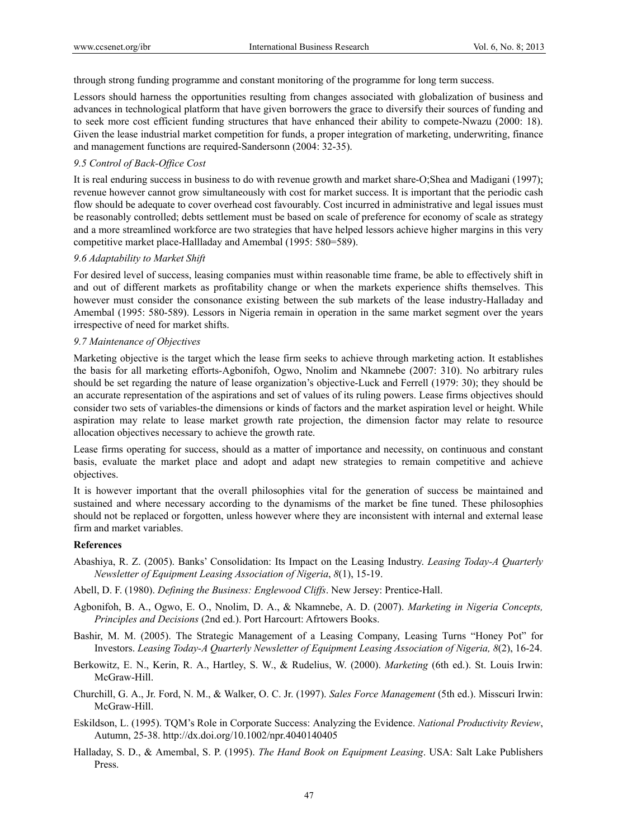through strong funding programme and constant monitoring of the programme for long term success.

Lessors should harness the opportunities resulting from changes associated with globalization of business and advances in technological platform that have given borrowers the grace to diversify their sources of funding and to seek more cost efficient funding structures that have enhanced their ability to compete-Nwazu (2000: 18). Given the lease industrial market competition for funds, a proper integration of marketing, underwriting, finance and management functions are required-Sandersonn (2004: 32-35).

### *9.5 Control of Back-Office Cost*

It is real enduring success in business to do with revenue growth and market share-O;Shea and Madigani (1997); revenue however cannot grow simultaneously with cost for market success. It is important that the periodic cash flow should be adequate to cover overhead cost favourably. Cost incurred in administrative and legal issues must be reasonably controlled; debts settlement must be based on scale of preference for economy of scale as strategy and a more streamlined workforce are two strategies that have helped lessors achieve higher margins in this very competitive market place-Hallladay and Amembal (1995: 580=589).

#### *9.6 Adaptability to Market Shift*

For desired level of success, leasing companies must within reasonable time frame, be able to effectively shift in and out of different markets as profitability change or when the markets experience shifts themselves. This however must consider the consonance existing between the sub markets of the lease industry-Halladay and Amembal (1995: 580-589). Lessors in Nigeria remain in operation in the same market segment over the years irrespective of need for market shifts.

#### *9.7 Maintenance of Objectives*

Marketing objective is the target which the lease firm seeks to achieve through marketing action. It establishes the basis for all marketing efforts-Agbonifoh, Ogwo, Nnolim and Nkamnebe (2007: 310). No arbitrary rules should be set regarding the nature of lease organization's objective-Luck and Ferrell (1979: 30); they should be an accurate representation of the aspirations and set of values of its ruling powers. Lease firms objectives should consider two sets of variables-the dimensions or kinds of factors and the market aspiration level or height. While aspiration may relate to lease market growth rate projection, the dimension factor may relate to resource allocation objectives necessary to achieve the growth rate.

Lease firms operating for success, should as a matter of importance and necessity, on continuous and constant basis, evaluate the market place and adopt and adapt new strategies to remain competitive and achieve objectives.

It is however important that the overall philosophies vital for the generation of success be maintained and sustained and where necessary according to the dynamisms of the market be fine tuned. These philosophies should not be replaced or forgotten, unless however where they are inconsistent with internal and external lease firm and market variables.

#### **References**

- Abashiya, R. Z. (2005). Banks' Consolidation: Its Impact on the Leasing Industry. *Leasing Today-A Quarterly Newsletter of Equipment Leasing Association of Nigeria*, *8*(1), 15-19.
- Abell, D. F. (1980). *Defining the Business: Englewood Cliffs*. New Jersey: Prentice-Hall.
- Agbonifoh, B. A., Ogwo, E. O., Nnolim, D. A., & Nkamnebe, A. D. (2007). *Marketing in Nigeria Concepts, Principles and Decisions* (2nd ed.). Port Harcourt: Afrtowers Books.
- Bashir, M. M. (2005). The Strategic Management of a Leasing Company, Leasing Turns "Honey Pot" for Investors. *Leasing Today-A Quarterly Newsletter of Equipment Leasing Association of Nigeria, 8*(2), 16-24.
- Berkowitz, E. N., Kerin, R. A., Hartley, S. W., & Rudelius, W. (2000). *Marketing* (6th ed.). St. Louis Irwin: McGraw-Hill.
- Churchill, G. A., Jr. Ford, N. M., & Walker, O. C. Jr. (1997). *Sales Force Management* (5th ed.). Misscuri Irwin: McGraw-Hill.
- Eskildson, L. (1995). TQM's Role in Corporate Success: Analyzing the Evidence. *National Productivity Review*, Autumn, 25-38. http://dx.doi.org/10.1002/npr.4040140405
- Halladay, S. D., & Amembal, S. P. (1995). *The Hand Book on Equipment Leasing*. USA: Salt Lake Publishers Press.